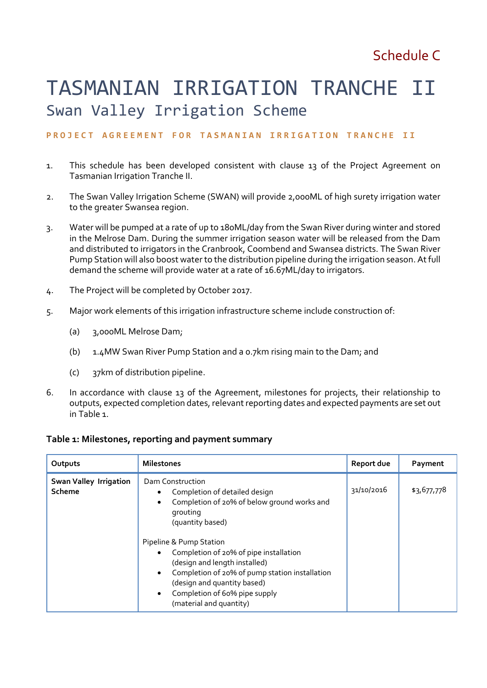# TASMANIAN IRRIGATION TRANCHE II Swan Valley Irrigation Scheme

## PROJECT AGREEMENT FOR TASMANIAN IRRIGATION TRANCHE II

- 1. This schedule has been developed consistent with clause 13 of the Project Agreement on Tasmanian Irrigation Tranche II.
- 2. The Swan Valley Irrigation Scheme (SWAN) will provide 2,000ML of high surety irrigation water to the greater Swansea region.
- 3. Water will be pumped at a rate of up to 180ML/day from the Swan River during winter and stored in the Melrose Dam. During the summer irrigation season water will be released from the Dam and distributed to irrigators in the Cranbrook, Coombend and Swansea districts. The Swan River Pump Station will also boost water to the distribution pipeline during the irrigation season. At full demand the scheme will provide water at a rate of 16.67ML/day to irrigators.
- 4. The Project will be completed by October 2017.
- 5. Major work elements of this irrigation infrastructure scheme include construction of:
	- (a) 3,000ML Melrose Dam;
	- (b) 1.4MW Swan River Pump Station and a 0.7km rising main to the Dam; and
	- (c) 37km of distribution pipeline.
- 6. In accordance with clause 13 of the Agreement, milestones for projects, their relationship to outputs, expected completion dates, relevant reporting dates and expected payments are set out in Table 1.

#### **Table 1: Milestones, reporting and payment summary**

| Outputs                                 | <b>Milestones</b>                                                                                                                                                                                                                                                                                                                                                                                                       | Report due | Payment     |
|-----------------------------------------|-------------------------------------------------------------------------------------------------------------------------------------------------------------------------------------------------------------------------------------------------------------------------------------------------------------------------------------------------------------------------------------------------------------------------|------------|-------------|
| <b>Swan Valley Irrigation</b><br>Scheme | Dam Construction<br>Completion of detailed design<br>٠<br>Completion of 20% of below ground works and<br>$\bullet$<br>grouting<br>(quantity based)<br>Pipeline & Pump Station<br>Completion of 20% of pipe installation<br>(design and length installed)<br>Completion of 20% of pump station installation<br>٠<br>(design and quantity based)<br>Completion of 60% pipe supply<br>$\bullet$<br>(material and quantity) | 31/10/2016 | \$3,677,778 |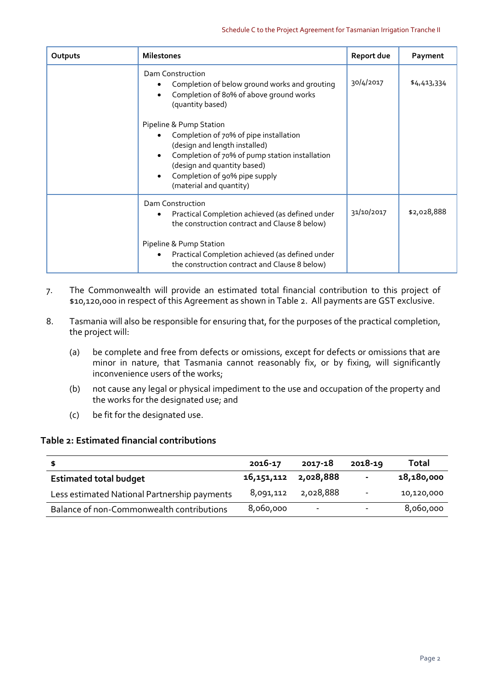| Outputs | <b>Milestones</b>                                                                                                                                                                                                                               | Report due | Payment     |
|---------|-------------------------------------------------------------------------------------------------------------------------------------------------------------------------------------------------------------------------------------------------|------------|-------------|
|         | Dam Construction<br>Completion of below ground works and grouting<br>Completion of 80% of above ground works<br>(quantity based)                                                                                                                | 30/4/2017  | \$4,413,334 |
|         | Pipeline & Pump Station<br>Completion of 70% of pipe installation<br>(design and length installed)<br>Completion of 70% of pump station installation<br>(design and quantity based)<br>Completion of 90% pipe supply<br>(material and quantity) |            |             |
|         | Dam Construction<br>Practical Completion achieved (as defined under<br>the construction contract and Clause 8 below)                                                                                                                            | 31/10/2017 | \$2,028,888 |
|         | Pipeline & Pump Station<br>Practical Completion achieved (as defined under<br>the construction contract and Clause 8 below)                                                                                                                     |            |             |

- 7. The Commonwealth will provide an estimated total financial contribution to this project of \$10,120,000 in respect of this Agreement as shown in Table 2. All payments are GST exclusive.
- 8. Tasmania will also be responsible for ensuring that, for the purposes of the practical completion, the project will:
	- (a) be complete and free from defects or omissions, except for defects or omissions that are minor in nature, that Tasmania cannot reasonably fix, or by fixing, will significantly inconvenience users of the works;
	- (b) not cause any legal or physical impediment to the use and occupation of the property and the works for the designated use; and
	- (c) be fit for the designated use.

### **Table 2: Estimated financial contributions**

|                                              | 2016-17                  | 2017-18                  | 2018-19                  | Total      |
|----------------------------------------------|--------------------------|--------------------------|--------------------------|------------|
| <b>Estimated total budget</b>                | 16, 151, 112 2, 028, 888 |                          |                          | 18,180,000 |
| Less estimated National Partnership payments | 8,091,112                | 2,028,888                | $\overline{\phantom{a}}$ | 10,120,000 |
| Balance of non-Commonwealth contributions    | 8,060,000                | $\overline{\phantom{a}}$ |                          | 8,060,000  |